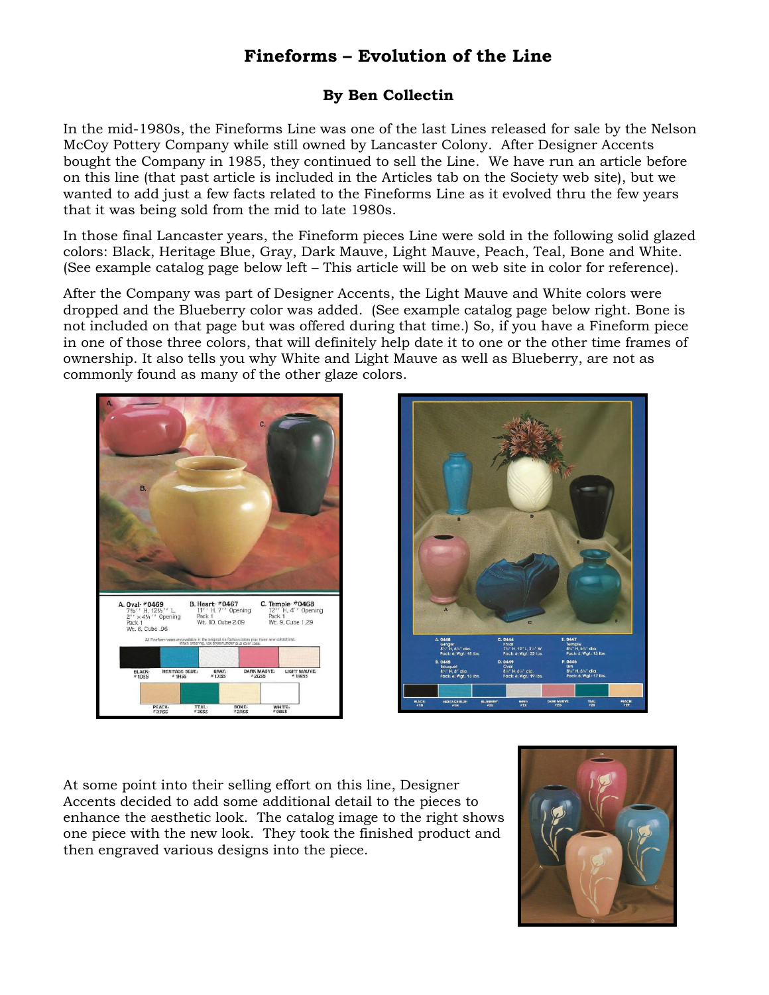## **Fineforms – Evolution of the Line**

## **By Ben Collectin**

In the mid-1980s, the Fineforms Line was one of the last Lines released for sale by the Nelson McCoy Pottery Company while still owned by Lancaster Colony. After Designer Accents bought the Company in 1985, they continued to sell the Line. We have run an article before on this line (that past article is included in the Articles tab on the Society web site), but we wanted to add just a few facts related to the Fineforms Line as it evolved thru the few years that it was being sold from the mid to late 1980s.

In those final Lancaster years, the Fineform pieces Line were sold in the following solid glazed colors: Black, Heritage Blue, Gray, Dark Mauve, Light Mauve, Peach, Teal, Bone and White. (See example catalog page below left – This article will be on web site in color for reference).

After the Company was part of Designer Accents, the Light Mauve and White colors were dropped and the Blueberry color was added. (See example catalog page below right. Bone is not included on that page but was offered during that time.) So, if you have a Fineform piece in one of those three colors, that will definitely help date it to one or the other time frames of ownership. It also tells you why White and Light Mauve as well as Blueberry, are not as commonly found as many of the other glaze colors.





At some point into their selling effort on this line, Designer Accents decided to add some additional detail to the pieces to enhance the aesthetic look. The catalog image to the right shows one piece with the new look. They took the finished product and then engraved various designs into the piece.

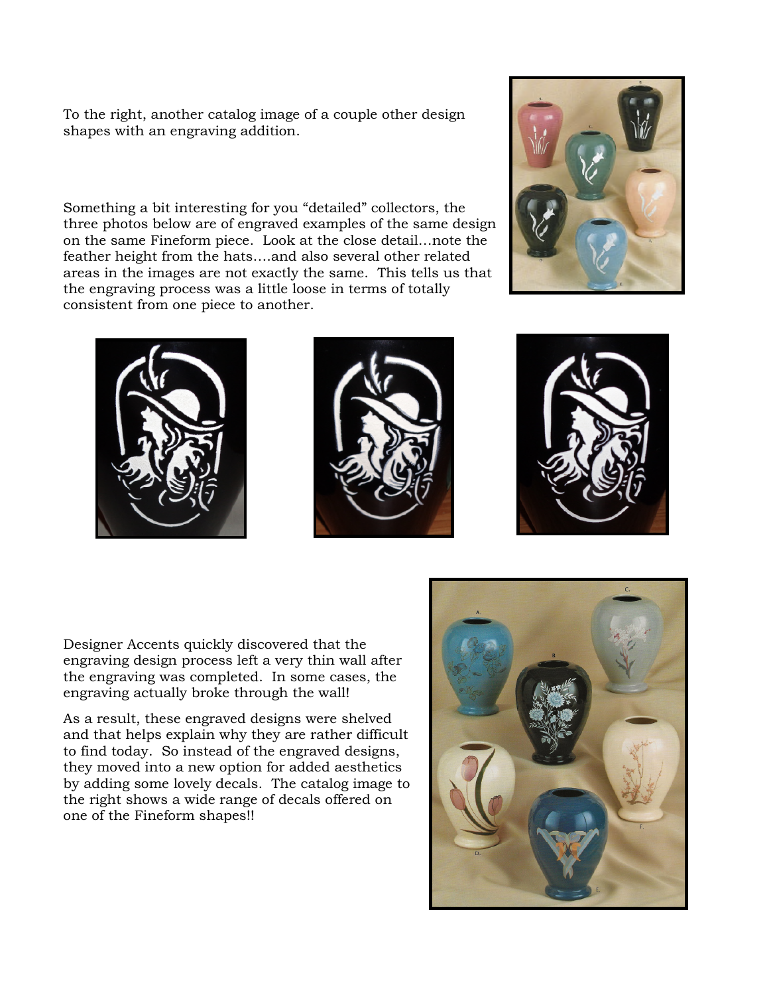To the right, another catalog image of a couple other design shapes with an engraving addition.

Something a bit interesting for you "detailed" collectors, the three photos below are of engraved examples of the same design on the same Fineform piece. Look at the close detail…note the feather height from the hats….and also several other related areas in the images are not exactly the same. This tells us that the engraving process was a little loose in terms of totally consistent from one piece to another.









Designer Accents quickly discovered that the engraving design process left a very thin wall after the engraving was completed. In some cases, the engraving actually broke through the wall!

As a result, these engraved designs were shelved and that helps explain why they are rather difficult to find today. So instead of the engraved designs, they moved into a new option for added aesthetics by adding some lovely decals. The catalog image to the right shows a wide range of decals offered on one of the Fineform shapes!!